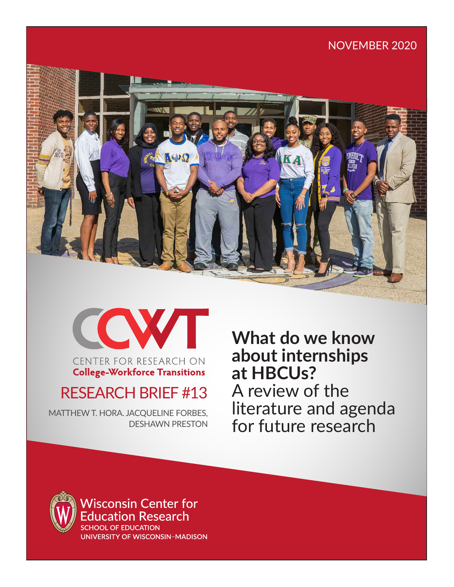# NOVEMBER 2020





CENTER FOR RESEARCH ON **College-Workforce Transitions** 

# RESEARCH BRIEF #13

MATTHEW T. HORA. JACQUELINE FORBES, DESHAWN PRESTON **What do we know about internships at HBCUs?** A review of the literature and agenda for future research



**Wisconsin Center for** ducation Research **SCHOOL OF EDUCATION** 

UNIVERSITY OF WISCONSIN-MADISON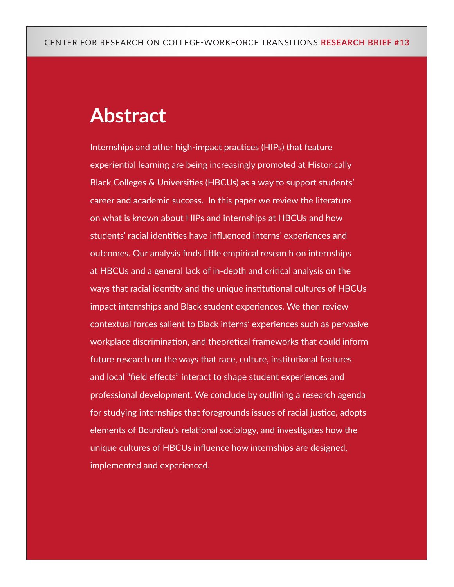# **Abstract**

Internships and other high-impact practices (HIPs) that feature experiential learning are being increasingly promoted at Historically Black Colleges & Universities (HBCUs) as a way to support students' career and academic success. In this paper we review the literature on what is known about HIPs and internships at HBCUs and how students' racial identities have influenced interns' experiences and outcomes. Our analysis finds little empirical research on internships at HBCUs and a general lack of in-depth and critical analysis on the ways that racial identity and the unique institutional cultures of HBCUs impact internships and Black student experiences. We then review contextual forces salient to Black interns' experiences such as pervasive workplace discrimination, and theoretical frameworks that could inform future research on the ways that race, culture, institutional features and local "field effects" interact to shape student experiences and professional development. We conclude by outlining a research agenda for studying internships that foregrounds issues of racial justice, adopts elements of Bourdieu's relational sociology, and investigates how the unique cultures of HBCUs influence how internships are designed, implemented and experienced.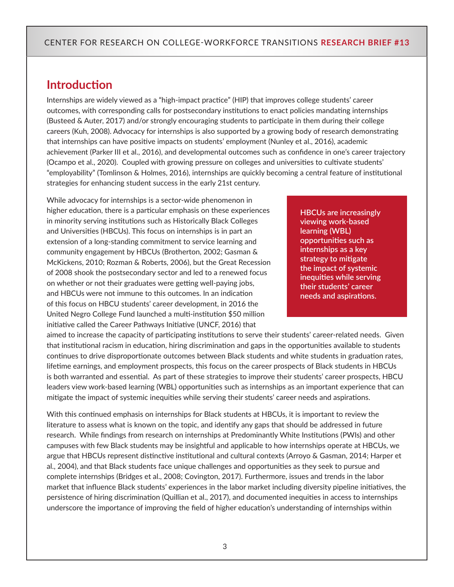## **Introduction**

Internships are widely viewed as a "high-impact practice" (HIP) that improves college students' career outcomes, with corresponding calls for postsecondary institutions to enact policies mandating internships (Busteed & Auter, 2017) and/or strongly encouraging students to participate in them during their college careers (Kuh, 2008). Advocacy for internships is also supported by a growing body of research demonstrating that internships can have positive impacts on students' employment (Nunley et al., 2016), academic achievement (Parker III et al., 2016), and developmental outcomes such as confidence in one's career trajectory (Ocampo et al., 2020). Coupled with growing pressure on colleges and universities to cultivate students' "employability" (Tomlinson & Holmes, 2016), internships are quickly becoming a central feature of institutional strategies for enhancing student success in the early 21st century.

While advocacy for internships is a sector-wide phenomenon in higher education, there is a particular emphasis on these experiences in minority serving institutions such as Historically Black Colleges and Universities (HBCUs). This focus on internships is in part an extension of a long-standing commitment to service learning and community engagement by HBCUs (Brotherton, 2002; Gasman & McKickens, 2010; Rozman & Roberts, 2006), but the Great Recession of 2008 shook the postsecondary sector and led to a renewed focus on whether or not their graduates were getting well-paying jobs, and HBCUs were not immune to this outcomes. In an indication of this focus on HBCU students' career development, in 2016 the United Negro College Fund launched a multi-institution \$50 million initiative called the Career Pathways Initiative (UNCF, 2016) that

**HBCUs are increasingly viewing work-based learning (WBL) opportunities such as internships as a key strategy to mitigate the impact of systemic inequities while serving their students' career needs and aspirations.**

aimed to increase the capacity of participating institutions to serve their students' career-related needs. Given that institutional racism in education, hiring discrimination and gaps in the opportunities available to students continues to drive disproportionate outcomes between Black students and white students in graduation rates, lifetime earnings, and employment prospects, this focus on the career prospects of Black students in HBCUs is both warranted and essential. As part of these strategies to improve their students' career prospects, HBCU leaders view work-based learning (WBL) opportunities such as internships as an important experience that can mitigate the impact of systemic inequities while serving their students' career needs and aspirations.

With this continued emphasis on internships for Black students at HBCUs, it is important to review the literature to assess what is known on the topic, and identify any gaps that should be addressed in future research. While findings from research on internships at Predominantly White Institutions (PWIs) and other campuses with few Black students may be insightful and applicable to how internships operate at HBCUs, we argue that HBCUs represent distinctive institutional and cultural contexts (Arroyo & Gasman, 2014; Harper et al., 2004), and that Black students face unique challenges and opportunities as they seek to pursue and complete internships (Bridges et al., 2008; Covington, 2017). Furthermore, issues and trends in the labor market that influence Black students' experiences in the labor market including diversity pipeline initiatives, the persistence of hiring discrimination (Quillian et al., 2017), and documented inequities in access to internships underscore the importance of improving the field of higher education's understanding of internships within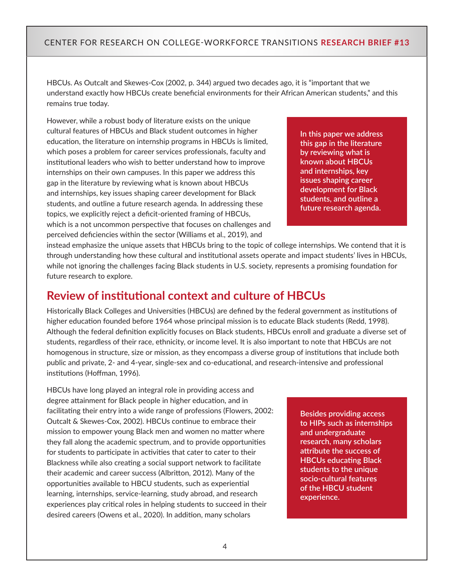HBCUs. As Outcalt and Skewes-Cox (2002, p. 344) argued two decades ago, it is "important that we understand exactly how HBCUs create beneficial environments for their African American students," and this remains true today.

However, while a robust body of literature exists on the unique cultural features of HBCUs and Black student outcomes in higher education, the literature on internship programs in HBCUs is limited, which poses a problem for career services professionals, faculty and institutional leaders who wish to better understand how to improve internships on their own campuses. In this paper we address this gap in the literature by reviewing what is known about HBCUs and internships, key issues shaping career development for Black students, and outline a future research agenda. In addressing these topics, we explicitly reject a deficit-oriented framing of HBCUs, which is a not uncommon perspective that focuses on challenges and perceived deficiencies within the sector (Williams et al., 2019), and

**In this paper we address this gap in the literature by reviewing what is known about HBCUs and internships, key issues shaping career development for Black students, and outline a future research agenda.** 

instead emphasize the unique assets that HBCUs bring to the topic of college internships. We contend that it is through understanding how these cultural and institutional assets operate and impact students' lives in HBCUs, while not ignoring the challenges facing Black students in U.S. society, represents a promising foundation for future research to explore.

### **Review of institutional context and culture of HBCUs**

Historically Black Colleges and Universities (HBCUs) are defined by the federal government as institutions of higher education founded before 1964 whose principal mission is to educate Black students (Redd, 1998). Although the federal definition explicitly focuses on Black students, HBCUs enroll and graduate a diverse set of students, regardless of their race, ethnicity, or income level. It is also important to note that HBCUs are not homogenous in structure, size or mission, as they encompass a diverse group of institutions that include both public and private, 2- and 4-year, single-sex and co-educational, and research-intensive and professional institutions (Hoffman, 1996).

HBCUs have long played an integral role in providing access and degree attainment for Black people in higher education, and in facilitating their entry into a wide range of professions (Flowers, 2002: Outcalt & Skewes-Cox, 2002). HBCUs continue to embrace their mission to empower young Black men and women no matter where they fall along the academic spectrum, and to provide opportunities for students to participate in activities that cater to cater to their Blackness while also creating a social support network to facilitate their academic and career success (Albritton, 2012). Many of the opportunities available to HBCU students, such as experiential learning, internships, service-learning, study abroad, and research experiences play critical roles in helping students to succeed in their desired careers (Owens et al., 2020). In addition, many scholars

**Besides providing access to HIPs such as internships and undergraduate research, many scholars attribute the success of HBCUs educating Black students to the unique socio-cultural features of the HBCU student experience.**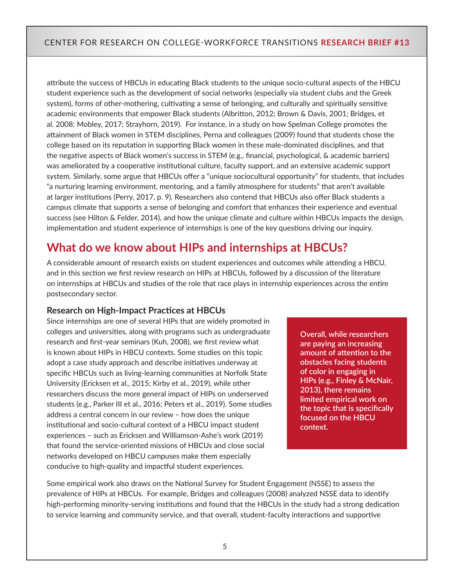attribute the success of HBCUs in educating Black students to the unique socio-cultural aspects of the HBCU student experience such as the development of social networks (especially via student clubs and the Greek system), forms of other-mothering, cultivating a sense of belonging, and culturally and spiritually sensitive academic environments that empower Black students (Albritton, 2012; Brown & Davis, 2001; Bridges, et al. 2008; Mobley, 2017; Strayhorn, 2019). For instance, in a study on how Spelman College promotes the attainment of Black women in STEM disciplines, Perna and colleagues (2009) found that students chose the college based on its reputation in supporting Black women in these male-dominated disciplines, and that the negative aspects of Black women's success in STEM (e.g., financial, psychological, & academic barriers) was ameliorated by a cooperative institutional culture, faculty support, and an extensive academic support system. Similarly, some argue that HBCUs offer a "unique sociocultural opportunity" for students, that includes "a nurturing learning environment, mentoring, and a family atmosphere for students" that aren't available at larger institutions (Perry, 2017, p. 9). Researchers also contend that HBCUs also offer Black students a campus climate that supports a sense of belonging and comfort that enhances their experience and eventual success (see Hilton & Felder, 2014), and how the unique climate and culture within HBCUs impacts the design, implementation and student experience of internships is one of the key questions driving our inquiry.

# **What do we know about HIPs and internships at HBCUs?**

A considerable amount of research exists on student experiences and outcomes while attending a HBCU, and in this section we first review research on HIPs at HBCUs, followed by a discussion of the literature on internships at HBCUs and studies of the role that race plays in internship experiences across the entire postsecondary sector.

#### **Research on High-Impact Practices at HBCUs**

Since internships are one of several HIPs that are widely promoted in colleges and universities, along with programs such as undergraduate research and first-year seminars (Kuh, 2008), we first review what is known about HIPs in HBCU contexts. Some studies on this topic adopt a case study approach and describe initiatives underway at specific HBCUs such as living-learning communities at Norfolk State University (Ericksen et al., 2015; Kirby et al., 2019), while other researchers discuss the more general impact of HIPs on underserved students (e.g., Parker III et al., 2016; Peters et al., 2019). Some studies address a central concern in our review – how does the unique institutional and socio-cultural context of a HBCU impact student experiences – such as Ericksen and Williamson-Ashe's work (2019) that found the service-oriented missions of HBCUs and close social networks developed on HBCU campuses make them especially conducive to high-quality and impactful student experiences.

**Overall, while researchers are paying an increasing amount of attention to the obstacles facing students of color in engaging in HIPs (e.g., Finley & McNair, 2013), there remains limited empirical work on the topic that is specifically focused on the HBCU context.**

Some empirical work also draws on the National Survey for Student Engagement (NSSE) to assess the prevalence of HIPs at HBCUs. For example, Bridges and colleagues (2008) analyzed NSSE data to identify high-performing minority-serving institutions and found that the HBCUs in the study had a strong dedication to service learning and community service, and that overall, student-faculty interactions and supportive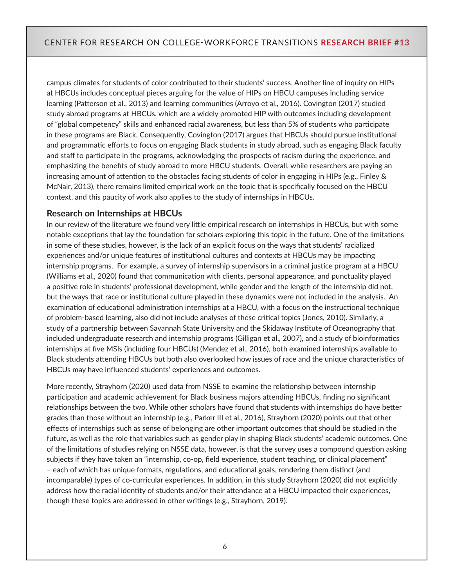campus climates for students of color contributed to their students' success. Another line of inquiry on HIPs at HBCUs includes conceptual pieces arguing for the value of HIPs on HBCU campuses including service learning (Patterson et al., 2013) and learning communities (Arroyo et al., 2016). Covington (2017) studied study abroad programs at HBCUs, which are a widely promoted HIP with outcomes including development of "global competency" skills and enhanced racial awareness, but less than 5% of students who participate in these programs are Black. Consequently, Covington (2017) argues that HBCUs should pursue institutional and programmatic efforts to focus on engaging Black students in study abroad, such as engaging Black faculty and staff to participate in the programs, acknowledging the prospects of racism during the experience, and emphasizing the benefits of study abroad to more HBCU students. Overall, while researchers are paying an increasing amount of attention to the obstacles facing students of color in engaging in HIPs (e.g., Finley & McNair, 2013), there remains limited empirical work on the topic that is specifically focused on the HBCU context, and this paucity of work also applies to the study of internships in HBCUs.

#### **Research on Internships at HBCUs**

In our review of the literature we found very little empirical research on internships in HBCUs, but with some notable exceptions that lay the foundation for scholars exploring this topic in the future. One of the limitations in some of these studies, however, is the lack of an explicit focus on the ways that students' racialized experiences and/or unique features of institutional cultures and contexts at HBCUs may be impacting internship programs. For example, a survey of internship supervisors in a criminal justice program at a HBCU (Williams et al., 2020) found that communication with clients, personal appearance, and punctuality played a positive role in students' professional development, while gender and the length of the internship did not, but the ways that race or institutional culture played in these dynamics were not included in the analysis. An examination of educational administration internships at a HBCU, with a focus on the instructional technique of problem-based learning, also did not include analyses of these critical topics (Jones, 2010). Similarly, a study of a partnership between Savannah State University and the Skidaway Institute of Oceanography that included undergraduate research and internship programs (Gilligan et al., 2007), and a study of bioinformatics internships at five MSIs (including four HBCUs) (Mendez et al., 2016), both examined internships available to Black students attending HBCUs but both also overlooked how issues of race and the unique characteristics of HBCUs may have influenced students' experiences and outcomes.

More recently, Strayhorn (2020) used data from NSSE to examine the relationship between internship participation and academic achievement for Black business majors attending HBCUs, finding no significant relationships between the two. While other scholars have found that students with internships do have better grades than those without an internship (e.g., Parker III et al., 2016), Strayhorn (2020) points out that other effects of internships such as sense of belonging are other important outcomes that should be studied in the future, as well as the role that variables such as gender play in shaping Black students' academic outcomes. One of the limitations of studies relying on NSSE data, however, is that the survey uses a compound question asking subjects if they have taken an "internship, co-op, field experience, student teaching, or clinical placement" – each of which has unique formats, regulations, and educational goals, rendering them distinct (and incomparable) types of co-curricular experiences. In addition, in this study Strayhorn (2020) did not explicitly address how the racial identity of students and/or their attendance at a HBCU impacted their experiences, though these topics are addressed in other writings (e.g., Strayhorn, 2019).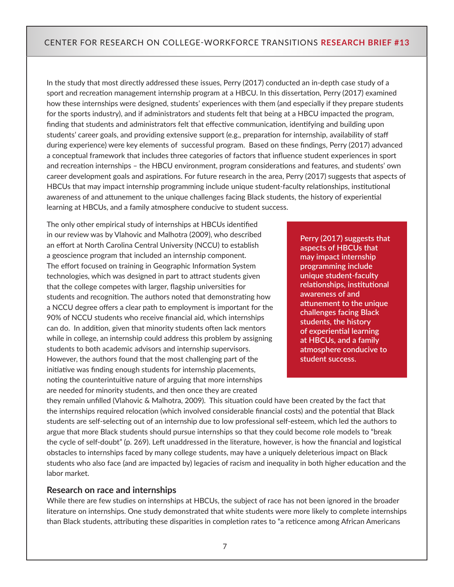In the study that most directly addressed these issues, Perry (2017) conducted an in-depth case study of a sport and recreation management internship program at a HBCU. In this dissertation, Perry (2017) examined how these internships were designed, students' experiences with them (and especially if they prepare students for the sports industry), and if administrators and students felt that being at a HBCU impacted the program, finding that students and administrators felt that effective communication, identifying and building upon students' career goals, and providing extensive support (e.g., preparation for internship, availability of staff during experience) were key elements of successful program. Based on these findings, Perry (2017) advanced a conceptual framework that includes three categories of factors that influence student experiences in sport and recreation internships – the HBCU environment, program considerations and features, and students' own career development goals and aspirations. For future research in the area, Perry (2017) suggests that aspects of HBCUs that may impact internship programming include unique student-faculty relationships, institutional awareness of and attunement to the unique challenges facing Black students, the history of experiential learning at HBCUs, and a family atmosphere conducive to student success.

The only other empirical study of internships at HBCUs identified in our review was by Vlahovic and Malhotra (2009), who described an effort at North Carolina Central University (NCCU) to establish a geoscience program that included an internship component. The effort focused on training in Geographic Information System technologies, which was designed in part to attract students given that the college competes with larger, flagship universities for students and recognition. The authors noted that demonstrating how a NCCU degree offers a clear path to employment is important for the 90% of NCCU students who receive financial aid, which internships can do. In addition, given that minority students often lack mentors while in college, an internship could address this problem by assigning students to both academic advisors and internship supervisors. However, the authors found that the most challenging part of the initiative was finding enough students for internship placements, noting the counterintuitive nature of arguing that more internships are needed for minority students, and then once they are created

**Perry (2017) suggests that aspects of HBCUs that may impact internship programming include unique student-faculty relationships, institutional awareness of and attunement to the unique challenges facing Black students, the history of experiential learning at HBCUs, and a family atmosphere conducive to student success.**

they remain unfilled (Vlahovic & Malhotra, 2009). This situation could have been created by the fact that the internships required relocation (which involved considerable financial costs) and the potential that Black students are self-selecting out of an internship due to low professional self-esteem, which led the authors to argue that more Black students should pursue internships so that they could become role models to "break the cycle of self-doubt" (p. 269). Left unaddressed in the literature, however, is how the financial and logistical obstacles to internships faced by many college students, may have a uniquely deleterious impact on Black students who also face (and are impacted by) legacies of racism and inequality in both higher education and the labor market.

#### **Research on race and internships**

While there are few studies on internships at HBCUs, the subject of race has not been ignored in the broader literature on internships. One study demonstrated that white students were more likely to complete internships than Black students, attributing these disparities in completion rates to "a reticence among African Americans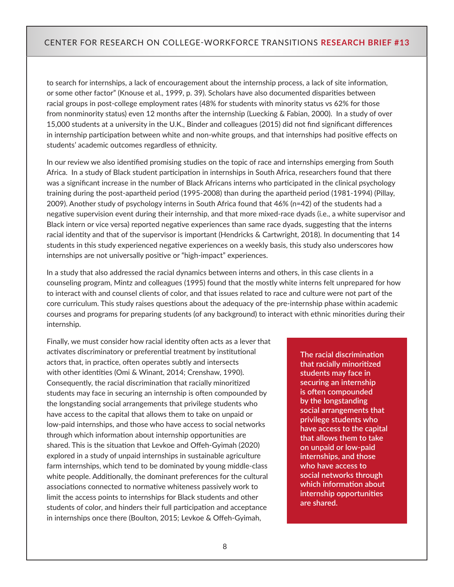to search for internships, a lack of encouragement about the internship process, a lack of site information, or some other factor" (Knouse et al., 1999, p. 39). Scholars have also documented disparities between racial groups in post-college employment rates (48% for students with minority status vs 62% for those from nonminority status) even 12 months after the internship (Luecking & Fabian, 2000). In a study of over 15,000 students at a university in the U.K., Binder and colleagues (2015) did not find significant differences in internship participation between white and non-white groups, and that internships had positive effects on students' academic outcomes regardless of ethnicity.

In our review we also identified promising studies on the topic of race and internships emerging from South Africa. In a study of Black student participation in internships in South Africa, researchers found that there was a significant increase in the number of Black Africans interns who participated in the clinical psychology training during the post-apartheid period (1995-2008) than during the apartheid period (1981-1994) (Pillay, 2009). Another study of psychology interns in South Africa found that 46% (n=42) of the students had a negative supervision event during their internship, and that more mixed-race dyads (i.e., a white supervisor and Black intern or vice versa) reported negative experiences than same race dyads, suggesting that the interns racial identity and that of the supervisor is important (Hendricks & Cartwright, 2018). In documenting that 14 students in this study experienced negative experiences on a weekly basis, this study also underscores how internships are not universally positive or "high-impact" experiences.

In a study that also addressed the racial dynamics between interns and others, in this case clients in a counseling program, Mintz and colleagues (1995) found that the mostly white interns felt unprepared for how to interact with and counsel clients of color, and that issues related to race and culture were not part of the core curriculum. This study raises questions about the adequacy of the pre-internship phase within academic courses and programs for preparing students (of any background) to interact with ethnic minorities during their internship.

Finally, we must consider how racial identity often acts as a lever that activates discriminatory or preferential treatment by institutional actors that, in practice, often operates subtly and intersects with other identities (Omi & Winant, 2014; Crenshaw, 1990). Consequently, the racial discrimination that racially minoritized students may face in securing an internship is often compounded by the longstanding social arrangements that privilege students who have access to the capital that allows them to take on unpaid or low-paid internships, and those who have access to social networks through which information about internship opportunities are shared. This is the situation that Levkoe and Offeh-Gyimah (2020) explored in a study of unpaid internships in sustainable agriculture farm internships, which tend to be dominated by young middle-class white people. Additionally, the dominant preferences for the cultural associations connected to normative whiteness passively work to limit the access points to internships for Black students and other students of color, and hinders their full participation and acceptance in internships once there (Boulton, 2015; Levkoe & Offeh-Gyimah,

**The racial discrimination that racially minoritized students may face in securing an internship is often compounded by the longstanding social arrangements that privilege students who have access to the capital that allows them to take on unpaid or low-paid internships, and those who have access to social networks through which information about internship opportunities are shared.**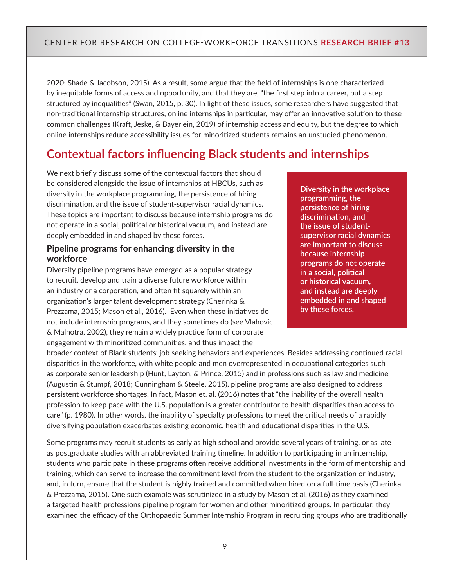2020; Shade & Jacobson, 2015). As a result, some argue that the field of internships is one characterized by inequitable forms of access and opportunity, and that they are, "the first step into a career, but a step structured by inequalities" (Swan, 2015, p. 30). In light of these issues, some researchers have suggested that non-traditional internship structures, online internships in particular, may offer an innovative solution to these common challenges (Kraft, Jeske, & Bayerlein, 2019) of internship access and equity, but the degree to which online internships reduce accessibility issues for minoritized students remains an unstudied phenomenon.

# **Contextual factors influencing Black students and internships**

We next briefly discuss some of the contextual factors that should be considered alongside the issue of internships at HBCUs, such as diversity in the workplace programming, the persistence of hiring discrimination, and the issue of student-supervisor racial dynamics. These topics are important to discuss because internship programs do not operate in a social, political or historical vacuum, and instead are deeply embedded in and shaped by these forces.

#### **Pipeline programs for enhancing diversity in the workforce**

Diversity pipeline programs have emerged as a popular strategy to recruit, develop and train a diverse future workforce within an industry or a corporation, and often fit squarely within an organization's larger talent development strategy (Cherinka & Prezzama, 2015; Mason et al., 2016). Even when these initiatives do not include internship programs, and they sometimes do (see Vlahovic & Malhotra, 2002), they remain a widely practice form of corporate engagement with minoritized communities, and thus impact the

**Diversity in the workplace programming, the persistence of hiring discrimination, and the issue of studentsupervisor racial dynamics are important to discuss because internship programs do not operate in a social, political or historical vacuum, and instead are deeply embedded in and shaped by these forces.** 

broader context of Black students' job seeking behaviors and experiences. Besides addressing continued racial disparities in the workforce, with white people and men overrepresented in occupational categories such as corporate senior leadership (Hunt, Layton, & Prince, 2015) and in professions such as law and medicine (Augustin & Stumpf, 2018; Cunningham & Steele, 2015), pipeline programs are also designed to address persistent workforce shortages. In fact, Mason et. al. (2016) notes that "the inability of the overall health profession to keep pace with the U.S. population is a greater contributor to health disparities than access to care" (p. 1980). In other words, the inability of specialty professions to meet the critical needs of a rapidly diversifying population exacerbates existing economic, health and educational disparities in the U.S.

Some programs may recruit students as early as high school and provide several years of training, or as late as postgraduate studies with an abbreviated training timeline. In addition to participating in an internship, students who participate in these programs often receive additional investments in the form of mentorship and training, which can serve to increase the commitment level from the student to the organization or industry, and, in turn, ensure that the student is highly trained and committed when hired on a full-time basis (Cherinka & Prezzama, 2015). One such example was scrutinized in a study by Mason et al. (2016) as they examined a targeted health professions pipeline program for women and other minoritized groups. In particular, they examined the efficacy of the Orthopaedic Summer Internship Program in recruiting groups who are traditionally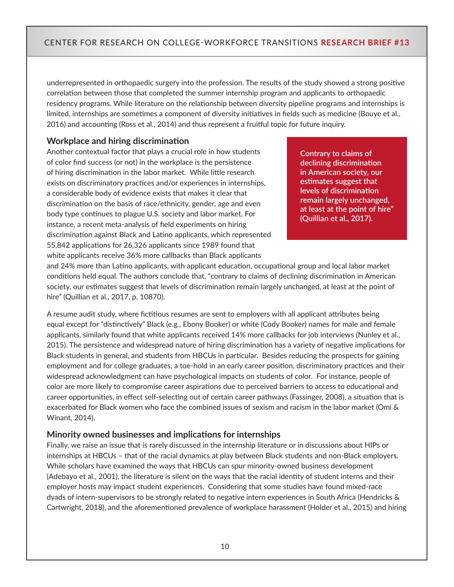underrepresented in orthopaedic surgery into the profession. The results of the study showed a strong positive correlation between those that completed the summer internship program and applicants to orthopaedic residency programs. While literature on the relationship between diversity pipeline programs and internships is limited, internships are sometimes a component of diversity initiatives in fields such as medicine (Bouye et al., 2016) and accounting (Ross et al., 2014) and thus represent a fruitful topic for future inquiry.

#### **Workplace and hiring discrimination**

Another contextual factor that plays a crucial role in how students of color find success (or not) in the workplace is the persistence of hiring discrimination in the labor market. While little research exists on discriminatory practices and/or experiences in internships, a considerable body of evidence exists that makes it clear that discrimination on the basis of race/ethnicity, gender, age and even body type continues to plague U.S. society and labor market. For instance, a recent meta-analysis of field experiments on hiring discrimination against Black and Latino applicants, which represented 55,842 applications for 26,326 applicants since 1989 found that white applicants receive 36% more callbacks than Black applicants

**Contrary to claims of declining discrimination in American society, our estimates suggest that levels of discrimination remain largely unchanged, at least at the point of hire" (Quillian et al., 2017).** 

and 24% more than Latino applicants, with applicant education, occupational group and local labor market conditions held equal. The authors conclude that, "contrary to claims of declining discrimination in American society, our estimates suggest that levels of discrimination remain largely unchanged, at least at the point of hire" (Quillian et al., 2017, p. 10870).

A resume audit study, where fictitious resumes are sent to employers with all applicant attributes being equal except for "distinctively" Black (e.g., Ebony Booker) or white (Cody Booker) names for male and female applicants, similarly found that white applicants received 14% more callbacks for job interviews (Nunley et al., 2015). The persistence and widespread nature of hiring discrimination has a variety of negative implications for Black students in general, and students from HBCUs in particular. Besides reducing the prospects for gaining employment and for college graduates, a toe-hold in an early career position, discriminatory practices and their widespread acknowledgment can have psychological impacts on students of color. For instance, people of color are more likely to compromise career aspirations due to perceived barriers to access to educational and career opportunities, in effect self-selecting out of certain career pathways (Fassinger, 2008), a situation that is exacerbated for Black women who face the combined issues of sexism and racism in the labor market (Omi & Winant, 2014).

#### **Minority owned businesses and implications for internships**

Finally, we raise an issue that is rarely discussed in the internship literature or in discussions about HIPs or internships at HBCUs – that of the racial dynamics at play between Black students and non-Black employers. While scholars have examined the ways that HBCUs can spur minority-owned business development (Adebayo et al., 2001), the literature is silent on the ways that the racial identity of student interns and their employer hosts may impact student experiences. Considering that some studies have found mixed-race dyads of intern-supervisors to be strongly related to negative intern experiences in South Africa (Hendricks & Cartwright, 2018), and the aforementioned prevalence of workplace harassment (Holder et al., 2015) and hiring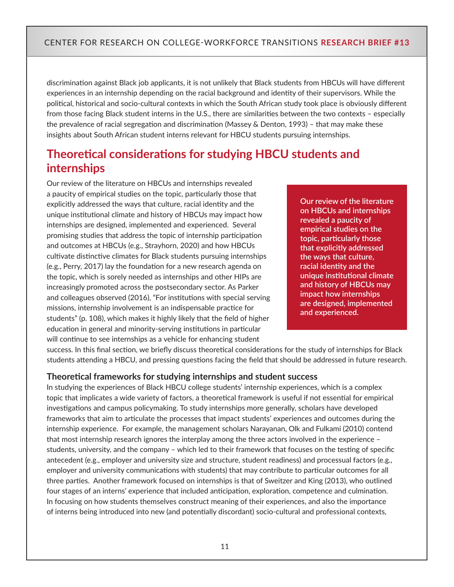discrimination against Black job applicants, it is not unlikely that Black students from HBCUs will have different experiences in an internship depending on the racial background and identity of their supervisors. While the political, historical and socio-cultural contexts in which the South African study took place is obviously different from those facing Black student interns in the U.S., there are similarities between the two contexts – especially the prevalence of racial segregation and discrimination (Massey & Denton, 1993) – that may make these insights about South African student interns relevant for HBCU students pursuing internships.

# **Theoretical considerations for studying HBCU students and internships**

Our review of the literature on HBCUs and internships revealed a paucity of empirical studies on the topic, particularly those that explicitly addressed the ways that culture, racial identity and the unique institutional climate and history of HBCUs may impact how internships are designed, implemented and experienced. Several promising studies that address the topic of internship participation and outcomes at HBCUs (e.g., Strayhorn, 2020) and how HBCUs cultivate distinctive climates for Black students pursuing internships (e.g., Perry, 2017) lay the foundation for a new research agenda on the topic, which is sorely needed as internships and other HIPs are increasingly promoted across the postsecondary sector. As Parker and colleagues observed (2016), "For institutions with special serving missions, internship involvement is an indispensable practice for students" (p. 108), which makes it highly likely that the field of higher education in general and minority-serving institutions in particular will continue to see internships as a vehicle for enhancing student

**Our review of the literature on HBCUs and internships revealed a paucity of empirical studies on the topic, particularly those that explicitly addressed the ways that culture, racial identity and the unique institutional climate and history of HBCUs may impact how internships are designed, implemented and experienced.** 

success. In this final section, we briefly discuss theoretical considerations for the study of internships for Black students attending a HBCU, and pressing questions facing the field that should be addressed in future research.

#### **Theoretical frameworks for studying internships and student success**

In studying the experiences of Black HBCU college students' internship experiences, which is a complex topic that implicates a wide variety of factors, a theoretical framework is useful if not essential for empirical investigations and campus policymaking. To study internships more generally, scholars have developed frameworks that aim to articulate the processes that impact students' experiences and outcomes during the internship experience. For example, the management scholars Narayanan, Olk and Fulkami (2010) contend that most internship research ignores the interplay among the three actors involved in the experience – students, university, and the company – which led to their framework that focuses on the testing of specific antecedent (e.g., employer and university size and structure, student readiness) and processual factors (e.g., employer and university communications with students) that may contribute to particular outcomes for all three parties. Another framework focused on internships is that of Sweitzer and King (2013), who outlined four stages of an interns' experience that included anticipation, exploration, competence and culmination. In focusing on how students themselves construct meaning of their experiences, and also the importance of interns being introduced into new (and potentially discordant) socio-cultural and professional contexts,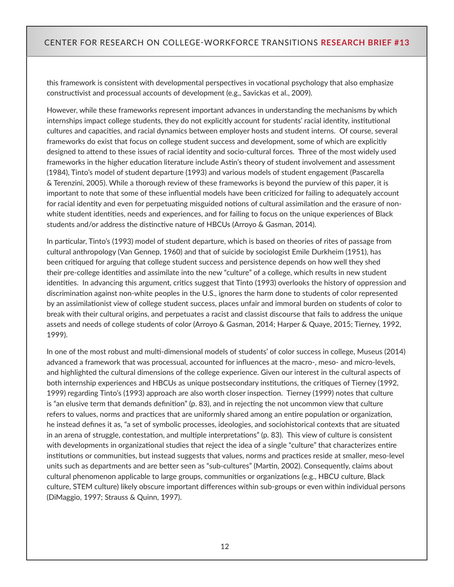this framework is consistent with developmental perspectives in vocational psychology that also emphasize constructivist and processual accounts of development (e.g., Savickas et al., 2009).

However, while these frameworks represent important advances in understanding the mechanisms by which internships impact college students, they do not explicitly account for students' racial identity, institutional cultures and capacities, and racial dynamics between employer hosts and student interns. Of course, several frameworks do exist that focus on college student success and development, some of which are explicitly designed to attend to these issues of racial identity and socio-cultural forces. Three of the most widely used frameworks in the higher education literature include Astin's theory of student involvement and assessment (1984), Tinto's model of student departure (1993) and various models of student engagement (Pascarella & Terenzini, 2005). While a thorough review of these frameworks is beyond the purview of this paper, it is important to note that some of these influential models have been criticized for failing to adequately account for racial identity and even for perpetuating misguided notions of cultural assimilation and the erasure of nonwhite student identities, needs and experiences, and for failing to focus on the unique experiences of Black students and/or address the distinctive nature of HBCUs (Arroyo & Gasman, 2014).

In particular, Tinto's (1993) model of student departure, which is based on theories of rites of passage from cultural anthropology (Van Gennep, 1960) and that of suicide by sociologist Emile Durkheim (1951), has been critiqued for arguing that college student success and persistence depends on how well they shed their pre-college identities and assimilate into the new "culture" of a college, which results in new student identities. In advancing this argument, critics suggest that Tinto (1993) overlooks the history of oppression and discrimination against non-white peoples in the U.S., ignores the harm done to students of color represented by an assimilationist view of college student success, places unfair and immoral burden on students of color to break with their cultural origins, and perpetuates a racist and classist discourse that fails to address the unique assets and needs of college students of color (Arroyo & Gasman, 2014; Harper & Quaye, 2015; Tierney, 1992, 1999).

In one of the most robust and multi-dimensional models of students' of color success in college, Museus (2014) advanced a framework that was processual, accounted for influences at the macro-, meso- and micro-levels, and highlighted the cultural dimensions of the college experience. Given our interest in the cultural aspects of both internship experiences and HBCUs as unique postsecondary institutions, the critiques of Tierney (1992, 1999) regarding Tinto's (1993) approach are also worth closer inspection. Tierney (1999) notes that culture is "an elusive term that demands definition" (p. 83), and in rejecting the not uncommon view that culture refers to values, norms and practices that are uniformly shared among an entire population or organization, he instead defines it as, "a set of symbolic processes, ideologies, and sociohistorical contexts that are situated in an arena of struggle, contestation, and multiple interpretations" (p. 83). This view of culture is consistent with developments in organizational studies that reject the idea of a single "culture" that characterizes entire institutions or communities, but instead suggests that values, norms and practices reside at smaller, meso-level units such as departments and are better seen as "sub-cultures" (Martin, 2002). Consequently, claims about cultural phenomenon applicable to large groups, communities or organizations (e.g., HBCU culture, Black culture, STEM culture) likely obscure important differences within sub-groups or even within individual persons (DiMaggio, 1997; Strauss & Quinn, 1997).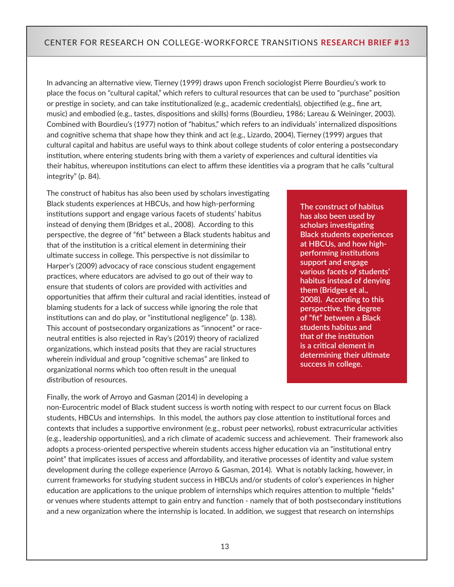In advancing an alternative view, Tierney (1999) draws upon French sociologist Pierre Bourdieu's work to place the focus on "cultural capital," which refers to cultural resources that can be used to "purchase" position or prestige in society, and can take institutionalized (e.g., academic credentials), objectified (e.g., fine art, music) and embodied (e.g., tastes, dispositions and skills) forms (Bourdieu, 1986; Lareau & Weininger, 2003). Combined with Bourdieu's (1977) notion of "habitus," which refers to an individuals' internalized dispositions and cognitive schema that shape how they think and act (e.g., Lizardo, 2004), Tierney (1999) argues that cultural capital and habitus are useful ways to think about college students of color entering a postsecondary institution, where entering students bring with them a variety of experiences and cultural identities via their habitus, whereupon institutions can elect to affirm these identities via a program that he calls "cultural integrity" (p. 84).

The construct of habitus has also been used by scholars investigating Black students experiences at HBCUs, and how high-performing institutions support and engage various facets of students' habitus instead of denying them (Bridges et al., 2008). According to this perspective, the degree of "fit" between a Black students habitus and that of the institution is a critical element in determining their ultimate success in college. This perspective is not dissimilar to Harper's (2009) advocacy of race conscious student engagement practices, where educators are advised to go out of their way to ensure that students of colors are provided with activities and opportunities that affirm their cultural and racial identities, instead of blaming students for a lack of success while ignoring the role that institutions can and do play, or "institutional negligence" (p. 138). This account of postsecondary organizations as "innocent" or raceneutral entities is also rejected in Ray's (2019) theory of racialized organizations, which instead posits that they are racial structures wherein individual and group "cognitive schemas" are linked to organizational norms which too often result in the unequal distribution of resources.

Finally, the work of Arroyo and Gasman (2014) in developing a

**The construct of habitus has also been used by scholars investigating Black students experiences at HBCUs, and how highperforming institutions support and engage various facets of students' habitus instead of denying them (Bridges et al., 2008). According to this perspective, the degree of "fit" between a Black students habitus and that of the institution is a critical element in determining their ultimate success in college.** 

non-Eurocentric model of Black student success is worth noting with respect to our current focus on Black students, HBCUs and internships. In this model, the authors pay close attention to institutional forces and contexts that includes a supportive environment (e.g., robust peer networks), robust extracurricular activities (e.g., leadership opportunities), and a rich climate of academic success and achievement. Their framework also adopts a process-oriented perspective wherein students access higher education via an "institutional entry point" that implicates issues of access and affordability, and iterative processes of identity and value system development during the college experience (Arroyo & Gasman, 2014). What is notably lacking, however, in current frameworks for studying student success in HBCUs and/or students of color's experiences in higher education are applications to the unique problem of internships which requires attention to multiple "fields" or venues where students attempt to gain entry and function - namely that of both postsecondary institutions and a new organization where the internship is located. In addition, we suggest that research on internships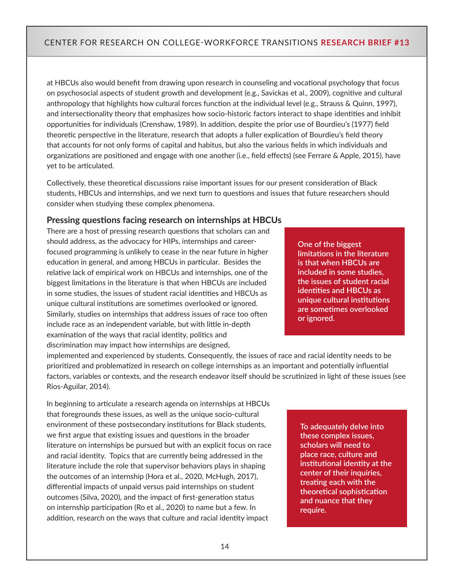at HBCUs also would benefit from drawing upon research in counseling and vocational psychology that focus on psychosocial aspects of student growth and development (e.g., Savickas et al., 2009), cognitive and cultural anthropology that highlights how cultural forces function at the individual level (e.g., Strauss & Quinn, 1997), and intersectionality theory that emphasizes how socio-historic factors interact to shape identities and inhibit opportunities for individuals (Crenshaw, 1989). In addition, despite the prior use of Bourdieu's (1977) field theoretic perspective in the literature, research that adopts a fuller explication of Bourdieu's field theory that accounts for not only forms of capital and habitus, but also the various fields in which individuals and organizations are positioned and engage with one another (i.e., field effects) (see Ferrare & Apple, 2015), have yet to be articulated.

Collectively, these theoretical discussions raise important issues for our present consideration of Black students, HBCUs and internships, and we next turn to questions and issues that future researchers should consider when studying these complex phenomena.

#### **Pressing questions facing research on internships at HBCUs**

There are a host of pressing research questions that scholars can and should address, as the advocacy for HIPs, internships and careerfocused programming is unlikely to cease in the near future in higher education in general, and among HBCUs in particular. Besides the relative lack of empirical work on HBCUs and internships, one of the biggest limitations in the literature is that when HBCUs are included in some studies, the issues of student racial identities and HBCUs as unique cultural institutions are sometimes overlooked or ignored. Similarly, studies on internships that address issues of race too often include race as an independent variable, but with little in-depth examination of the ways that racial identity, politics and discrimination may impact how internships are designed,

**One of the biggest limitations in the literature is that when HBCUs are included in some studies, the issues of student racial identities and HBCUs as unique cultural institutions are sometimes overlooked or ignored.** 

implemented and experienced by students. Consequently, the issues of race and racial identity needs to be prioritized and problematized in research on college internships as an important and potentially influential factors, variables or contexts, and the research endeavor itself should be scrutinized in light of these issues (see Rios-Aguilar, 2014).

In beginning to articulate a research agenda on internships at HBCUs that foregrounds these issues, as well as the unique socio-cultural environment of these postsecondary institutions for Black students, we first argue that existing issues and questions in the broader literature on internships be pursued but with an explicit focus on race and racial identity. Topics that are currently being addressed in the literature include the role that supervisor behaviors plays in shaping the outcomes of an internship (Hora et al., 2020, McHugh, 2017), differential impacts of unpaid versus paid internships on student outcomes (Silva, 2020), and the impact of first-generation status on internship participation (Ro et al., 2020) to name but a few. In addition, research on the ways that culture and racial identity impact

**To adequately delve into these complex issues, scholars will need to place race, culture and institutional identity at the center of their inquiries, treating each with the theoretical sophistication and nuance that they require.**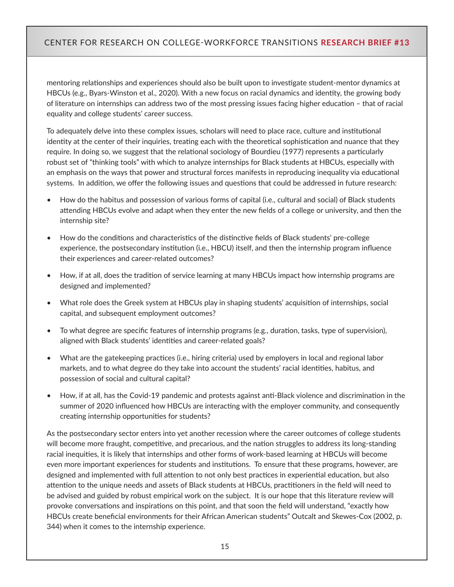mentoring relationships and experiences should also be built upon to investigate student-mentor dynamics at HBCUs (e.g., Byars-Winston et al., 2020). With a new focus on racial dynamics and identity, the growing body of literature on internships can address two of the most pressing issues facing higher education – that of racial equality and college students' career success.

To adequately delve into these complex issues, scholars will need to place race, culture and institutional identity at the center of their inquiries, treating each with the theoretical sophistication and nuance that they require. In doing so, we suggest that the relational sociology of Bourdieu (1977) represents a particularly robust set of "thinking tools" with which to analyze internships for Black students at HBCUs, especially with an emphasis on the ways that power and structural forces manifests in reproducing inequality via educational systems. In addition, we offer the following issues and questions that could be addressed in future research:

- How do the habitus and possession of various forms of capital (i.e., cultural and social) of Black students attending HBCUs evolve and adapt when they enter the new fields of a college or university, and then the internship site?
- How do the conditions and characteristics of the distinctive fields of Black students' pre-college experience, the postsecondary institution (i.e., HBCU) itself, and then the internship program influence their experiences and career-related outcomes?
- How, if at all, does the tradition of service learning at many HBCUs impact how internship programs are designed and implemented?
- What role does the Greek system at HBCUs play in shaping students' acquisition of internships, social capital, and subsequent employment outcomes?
- To what degree are specific features of internship programs (e.g., duration, tasks, type of supervision), aligned with Black students' identities and career-related goals?
- What are the gatekeeping practices (i.e., hiring criteria) used by employers in local and regional labor markets, and to what degree do they take into account the students' racial identities, habitus, and possession of social and cultural capital?
- How, if at all, has the Covid-19 pandemic and protests against anti-Black violence and discrimination in the summer of 2020 influenced how HBCUs are interacting with the employer community, and consequently creating internship opportunities for students?

As the postsecondary sector enters into yet another recession where the career outcomes of college students will become more fraught, competitive, and precarious, and the nation struggles to address its long-standing racial inequities, it is likely that internships and other forms of work-based learning at HBCUs will become even more important experiences for students and institutions. To ensure that these programs, however, are designed and implemented with full attention to not only best practices in experiential education, but also attention to the unique needs and assets of Black students at HBCUs, practitioners in the field will need to be advised and guided by robust empirical work on the subject. It is our hope that this literature review will provoke conversations and inspirations on this point, and that soon the field will understand, "exactly how HBCUs create beneficial environments for their African American students" Outcalt and Skewes-Cox (2002, p. 344) when it comes to the internship experience.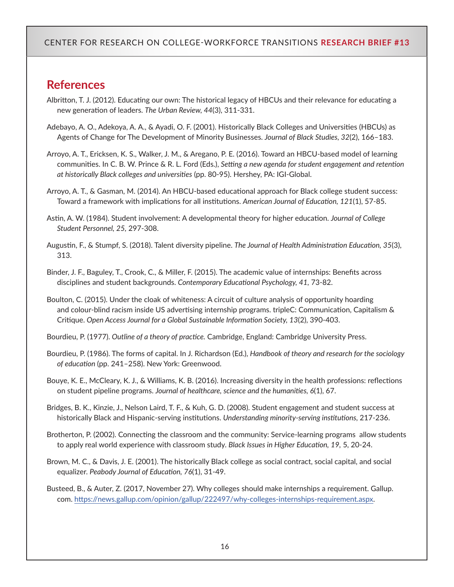## **References**

- Albritton, T. J. (2012). Educating our own: The historical legacy of HBCUs and their relevance for educating a new generation of leaders. *The Urban Review, 44*(3), 311-331.
- Adebayo, A. O., Adekoya, A. A., & Ayadi, O. F. (2001). Historically Black Colleges and Universities (HBCUs) as Agents of Change for The Development of Minority Businesses. *Journal of Black Studies, 32*(2), 166–183.
- Arroyo, A. T., Ericksen, K. S., Walker, J. M., & Aregano, P. E. (2016). Toward an HBCU-based model of learning communities. In C. B. W. Prince & R. L. Ford (Eds.), *Setting a new agenda for student engagement and retention at historically Black colleges and universities* (pp. 80‑95). Hershey, PA: IGI-Global.
- Arroyo, A. T., & Gasman, M. (2014). An HBCU-based educational approach for Black college student success: Toward a framework with implications for all institutions. *American Journal of Education, 121*(1), 57-85.
- Astin, A. W. (1984). Student involvement: A developmental theory for higher education. *Journal of College Student Personnel, 25,* 297-308.
- Augustin, F., & Stumpf, S. (2018). Talent diversity pipeline. *The Journal of Health Administration Education, 35*(3), 313.
- Binder, J. F., Baguley, T., Crook, C., & Miller, F. (2015). The academic value of internships: Benefits across disciplines and student backgrounds. *Contemporary Educational Psychology, 41,* 73-82.
- Boulton, C. (2015). Under the cloak of whiteness: A circuit of culture analysis of opportunity hoarding and colour-blind racism inside US advertising internship programs. tripleC: Communication, Capitalism & Critique. *Open Access Journal for a Global Sustainable Information Society, 13*(2), 390-403.
- Bourdieu, P. (1977). *Outline of a theory of practice.* Cambridge, England: Cambridge University Press.
- Bourdieu, P. (1986). The forms of capital. In J. Richardson (Ed.), *Handbook of theory and research for the sociology of education* (pp. 241–258). New York: Greenwood.
- Bouye, K. E., McCleary, K. J., & Williams, K. B. (2016). Increasing diversity in the health professions: reflections on student pipeline programs. *Journal of healthcare, science and the humanities, 6*(1), 67.
- Bridges, B. K., Kinzie, J., Nelson Laird, T. F., & Kuh, G. D. (2008). Student engagement and student success at historically Black and Hispanic-serving institutions. *Understanding minority-serving institutions,* 217-236.
- Brotherton, P. (2002). Connecting the classroom and the community: Service-learning programs  allow students to apply real world experience with classroom study*. Black Issues in Higher Education, 19,* 5, 20-24.
- Brown, M. C., & Davis, J. E. (2001). The historically Black college as social contract, social capital, and social equalizer. *Peabody Journal of Education, 76*(1), 31-49.
- Busteed, B., & Auter, Z. (2017, November 27). Why colleges should make internships a requirement. Gallup. com.[https://news.gallup.com/opinion/gallup/222497/why-colleges-internships-requirement.aspx.](https://news.gallup.com/opinion/gallup/222497/why-colleges-internships-requirement.aspx)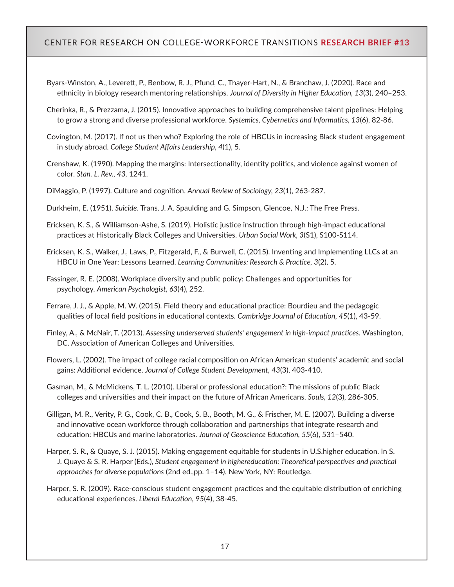- Byars-Winston, A., Leverett, P., Benbow, R. J., Pfund, C., Thayer-Hart, N., & Branchaw, J. (2020). Race and ethnicity in biology research mentoring relationships. *Journal of Diversity in Higher Education, 13*(3), 240–253.
- Cherinka, R., & Prezzama, J. (2015). Innovative approaches to building comprehensive talent pipelines: Helping to grow a strong and diverse professional workforce. *Systemics, Cybernetics and Informatics, 13*(6), 82-86.
- Covington, M. (2017). If not us then who? Exploring the role of HBCUs in increasing Black student engagement in study abroad. *College Student Affairs Leadership, 4*(1), 5.
- Crenshaw, K. (1990). Mapping the margins: Intersectionality, identity politics, and violence against women of color. *Stan. L. Rev., 43,* 1241.
- DiMaggio, P. (1997). Culture and cognition. *Annual Review of Sociology, 23*(1), 263-287.
- Durkheim, E. (1951). *Suicide*. Trans. J. A. Spaulding and G. Simpson, Glencoe, N.J.: The Free Press.
- Ericksen, K. S., & Williamson-Ashe, S. (2019). Holistic justice instruction through high-impact educational practices at Historically Black Colleges and Universities. *Urban Social Work, 3*(S1), S100-S114.
- Ericksen, K. S., Walker, J., Laws, P., Fitzgerald, F., & Burwell, C. (2015). Inventing and Implementing LLCs at an HBCU in One Year: Lessons Learned. *Learning Communities: Research & Practice, 3*(2), 5.
- Fassinger, R. E. (2008). Workplace diversity and public policy: Challenges and opportunities for psychology. *American Psychologist, 63*(4), 252.
- Ferrare, J. J., & Apple, M. W. (2015). Field theory and educational practice: Bourdieu and the pedagogic qualities of local field positions in educational contexts. *Cambridge Journal of Education, 45*(1), 43-59.
- Finley, A., & McNair, T. (2013). *Assessing underserved students' engagement in high-impact practices.* Washington, DC. Association of American Colleges and Universities.
- Flowers, L. (2002). The impact of college racial composition on African American students' academic and social gains: Additional evidence. *Journal of College Student Development, 43*(3), 403-410.
- Gasman, M., & McMickens, T. L. (2010). Liberal or professional education?: The missions of public Black colleges and universities and their impact on the future of African Americans. *Souls, 12*(3), 286-305.
- Gilligan, M. R., Verity, P. G., Cook, C. B., Cook, S. B., Booth, M. G., & Frischer, M. E. (2007). Building a diverse and innovative ocean workforce through collaboration and partnerships that integrate research and education: HBCUs and marine laboratories.*Journal of Geoscience Education, 55*(6), 531–540.
- Harper, S. R., & Quaye, S. J. (2015). Making engagement equitable for students in U.S.higher education. In S. J. Quaye & S. R. Harper (Eds.), *Student engagement in highereducation: Theoretical perspectives and practical approaches for diverse populations* (2nd ed.,pp. 1–14). New York, NY: Routledge.
- Harper, S. R. (2009). Race-conscious student engagement practices and the equitable distribution of enriching educational experiences. *Liberal Education, 95*(4), 38-45.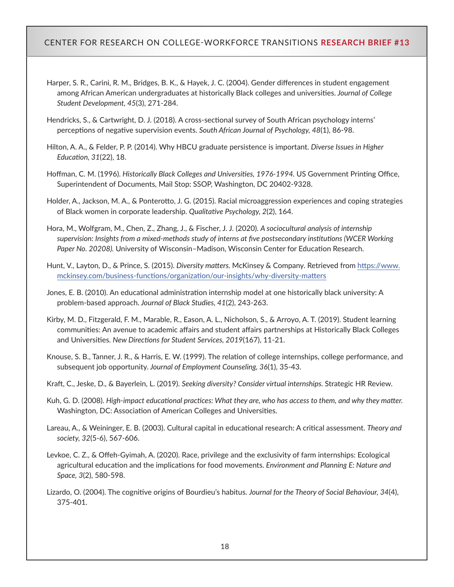- Harper, S. R., Carini, R. M., Bridges, B. K., & Hayek, J. C. (2004). Gender differences in student engagement among African American undergraduates at historically Black colleges and universities.*Journal of College Student Development, 45*(3), 271-284.
- Hendricks, S., & Cartwright, D. J. (2018). A cross-sectional survey of South African psychology interns' perceptions of negative supervision events. *South African Journal of Psychology, 48*(1), 86-98.
- Hilton, A. A., & Felder, P. P. (2014). Why HBCU graduate persistence is important. *Diverse Issues in Higher Education, 31*(22), 18.
- Hoffman, C. M. (1996).*Historically Black Colleges and Universities, 1976-1994.* US Government Printing Office, Superintendent of Documents, Mail Stop: SSOP, Washington, DC 20402-9328.
- Holder, A., Jackson, M. A., & Ponterotto, J. G. (2015). Racial microaggression experiences and coping strategies of Black women in corporate leadership. *Qualitative Psychology, 2*(2), 164.
- Hora, M., Wolfgram, M., Chen, Z., Zhang, J., & Fischer, J. J. (2020). *A sociocultural analysis of internship supervision: Insights from a mixed-methods study of interns at five postsecondary institutions (WCER Working Paper No. 20208).* University of Wisconsin–Madison, Wisconsin Center for Education Research.
- Hunt, V., Layton, D., & Prince, S. (2015). *Diversity matters.* McKinsey & Company. Retrieved from[https://www.](https://www.mckinsey.com/business-functions/organization/our-insights/why-diversity-matters) [mckinsey.com/business-functions/organization/our-insights/why-diversity-matters](https://www.mckinsey.com/business-functions/organization/our-insights/why-diversity-matters)
- Jones, E. B. (2010). An educational administration internship model at one historically black university: A problem-based approach. *Journal of Black Studies, 41*(2), 243-263.
- Kirby, M. D., Fitzgerald, F. M., Marable, R., Eason, A. L., Nicholson, S., & Arroyo, A. T. (2019). Student learning communities: An avenue to academic affairs and student affairs partnerships at Historically Black Colleges and Universities. *New Directions for Student Services, 2019*(167), 11-21.
- Knouse, S. B., Tanner, J. R., & Harris, E. W. (1999). The relation of college internships, college performance, and subsequent job opportunity. *Journal of Employment Counseling, 36*(1), 35-43.
- Kraft, C., Jeske, D., & Bayerlein, L. (2019). *Seeking diversity? Consider virtual internships.*Strategic HR Review.
- Kuh, G. D. (2008). *High-impact educational practices: What they are, who has access to them, and why they matter.* Washington, DC: Association of American Colleges and Universities.
- Lareau, A., & Weininger, E. B. (2003). Cultural capital in educational research: A critical assessment. *Theory and society, 32*(5-6), 567-606.
- Levkoe, C. Z., & Offeh-Gyimah, A. (2020). Race, privilege and the exclusivity of farm internships: Ecological agricultural education and the implications for food movements. *Environment and Planning E: Nature and Space, 3*(2), 580-598.
- Lizardo, O. (2004). The cognitive origins of Bourdieu's habitus. *Journal for the Theory of Social Behaviour, 34*(4), 375-401.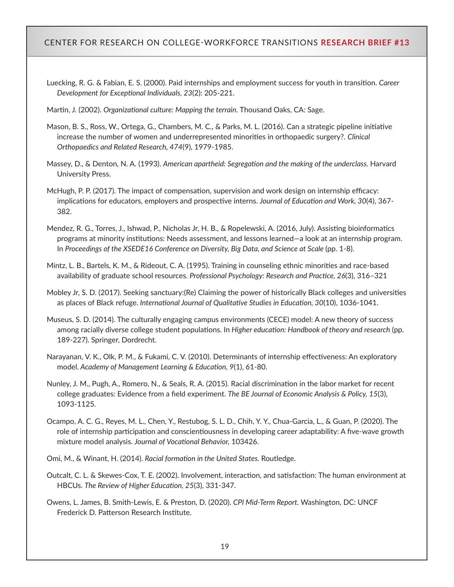- Luecking, R. G. & Fabian, E. S. (2000). Paid internships and employment success for youth in transition. *Career Development for Exceptional Individuals, 23*(2): 205-221.
- Martin, J. (2002). *Organizational culture: Mapping the terrain.* Thousand Oaks, CA: Sage.
- Mason, B. S., Ross, W., Ortega, G., Chambers, M. C., & Parks, M. L. (2016). Can a strategic pipeline initiative increase the number of women and underrepresented minorities in orthopaedic surgery?. *Clinical Orthopaedics and Related Research, 474*(9), 1979-1985.
- Massey, D., & Denton, N. A. (1993). *American apartheid: Segregation and the making of the underclass.* Harvard University Press.
- McHugh, P. P. (2017). The impact of compensation, supervision and work design on internship efficacy: implications for educators, employers and prospective interns. *Journal of Education and Work, 30*(4), 367- 382.
- Mendez, R. G., Torres, J., Ishwad, P., Nicholas Jr, H. B., & Ropelewski, A. (2016, July). Assisting bioinformatics programs at minority institutions: Needs assessment, and lessons learned—a look at an internship program. In *Proceedings of the XSEDE16 Conference on Diversity, Big Data, and Science at Scale*(pp. 1-8).
- Mintz, L. B., Bartels, K. M., & Rideout, C. A. (1995). Training in counseling ethnic minorities and race-based availability of graduate school resources. *Professional Psychology: Research and Practice, 26*(3), 316–321
- Mobley Jr, S. D. (2017). Seeking sanctuary:(Re) Claiming the power of historically Black colleges and universities as places of Black refuge.*International Journal of Qualitative Studies in Education, 30*(10), 1036-1041.
- Museus, S. D. (2014). The culturally engaging campus environments (CECE) model: A new theory of success among racially diverse college student populations. In *Higher education: Handbook of theory and research* (pp. 189-227). Springer, Dordrecht.
- Narayanan, V. K., Olk, P. M., & Fukami, C. V. (2010). Determinants of internship effectiveness: An exploratory model. *Academy of Management Learning & Education, 9*(1), 61-80.
- Nunley, J. M., Pugh, A., Romero, N., & Seals, R. A. (2015). Racial discrimination in the labor market for recent college graduates: Evidence from a field experiment. *The BE Journal of Economic Analysis & Policy, 15*(3), 1093-1125.
- Ocampo, A. C. G., Reyes, M. L., Chen, Y., Restubog, S. L. D., Chih, Y. Y., Chua-Garcia, L., & Guan, P. (2020). The role of internship participation and conscientiousness in developing career adaptability: A five-wave growth mixture model analysis. *Journal of Vocational Behavior,* 103426.
- Omi, M., & Winant, H. (2014). *Racial formation in the United States.* Routledge.
- Outcalt, C. L. & Skewes-Cox, T. E. (2002). Involvement, interaction, and satisfaction: The human environment at HBCUs. *The Review of Higher Education, 25*(3), 331-347.
- Owens, L. James, B. Smith-Lewis, E. & Preston, D. (2020). *CPI Mid-Term Report.* Washington, DC: UNCF Frederick D. Patterson Research Institute.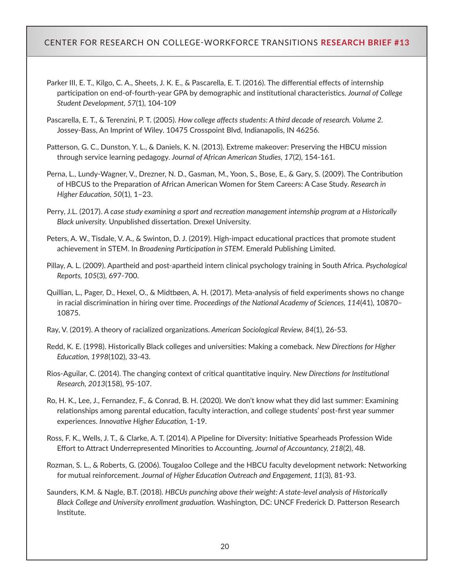- Parker III, E. T., Kilgo, C. A., Sheets, J. K. E., & Pascarella, E. T. (2016). The differential effects of internship participation on end-of-fourth-year GPA by demographic and institutional characteristics.*Journal of College Student Development, 57*(1), 104-109
- Pascarella, E. T., & Terenzini, P. T. (2005). *How college affects students: A third decade of research. Volume 2.*  Jossey-Bass, An Imprint of Wiley. 10475 Crosspoint Blvd, Indianapolis, IN 46256.
- Patterson, G. C., Dunston, Y. L., & Daniels, K. N. (2013). Extreme makeover: Preserving the HBCU mission through service learning pedagogy. *Journal of African American Studies, 17*(2), 154-161.
- Perna, L., Lundy-Wagner, V., Drezner, N. D., Gasman, M., Yoon, S., Bose, E., & Gary, S. (2009). The Contribution of HBCUS to the Preparation of African American Women for Stem Careers: A Case Study. *Research in Higher Education, 50*(1), 1–23.
- Perry, J.L. (2017). *A case study examining a sport and recreation management internship program at a Historically Black university.* Unpublished dissertation. Drexel University.
- Peters, A. W., Tisdale, V. A., & Swinton, D. J. (2019). High-impact educational practices that promote student achievement in STEM. In *Broadening Participation in STEM.* Emerald Publishing Limited.
- Pillay, A. L. (2009). Apartheid and post-apartheid intern clinical psychology training in South Africa. *Psychological Reports, 105*(3), 697-700.
- Quillian, L., Pager, D., Hexel, O., & Midtbøen, A. H. (2017). Meta-analysis of field experiments shows no change in racial discrimination in hiring over time. *Proceedings of the National Academy of Sciences, 114*(41), 10870– 10875.
- Ray, V. (2019). A theory of racialized organizations. *American Sociological Review, 84*(1), 26-53.
- Redd, K. E. (1998). Historically Black colleges and universities: Making a comeback. *New Directions for Higher Education, 1998*(102), 33-43.
- Rios‐Aguilar, C. (2014). The changing context of critical quantitative inquiry. *New Directions for Institutional Research, 2013*(158), 95-107.
- Ro, H. K., Lee, J., Fernandez, F., & Conrad, B. H. (2020). We don't know what they did last summer: Examining relationships among parental education, faculty interaction, and college students' post-first year summer experiences. *Innovative Higher Education,* 1-19.
- Ross, F. K., Wells, J. T., & Clarke, A. T. (2014). A Pipeline for Diversity: Initiative Spearheads Profession Wide Effort to Attract Underrepresented Minorities to Accounting. *Journal of Accountancy, 218*(2), 48.
- Rozman, S. L., & Roberts, G. (2006). Tougaloo College and the HBCU faculty development network: Networking for mutual reinforcement.*Journal of Higher Education Outreach and Engagement, 11*(3), 81-93.
- Saunders, K.M. & Nagle, B.T. (2018). *HBCUs punching above their weight: A state-level analysis of Historically Black College and University enrollment graduation.* Washington, DC: UNCF Frederick D. Patterson Research Institute.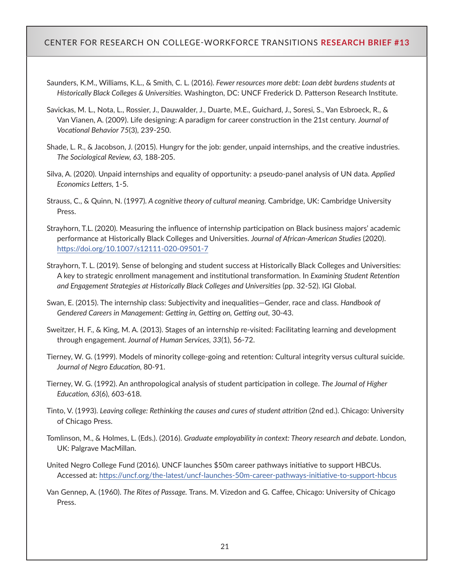- Saunders, K.M., Williams, K.L., & Smith, C. L. (2016). *Fewer resources more debt: Loan debt burdens students at Historically Black Colleges & Universities.* Washington, DC: UNCF Frederick D. Patterson Research Institute.
- Savickas, M. L., Nota, L., Rossier, J., Dauwalder, J., Duarte, M.E., Guichard, J., Soresi, S., Van Esbroeck, R., & Van Vianen, A. (2009). Life designing: A paradigm for career construction in the 21st century. *Journal of Vocational Behavior 75*(3), 239-250.
- Shade, L. R., & Jacobson, J. (2015). Hungry for the job: gender, unpaid internships, and the creative industries. *The Sociological Review, 63,* 188-205.
- Silva, A. (2020). Unpaid internships and equality of opportunity: a pseudo-panel analysis of UN data. *Applied Economics Letters,* 1-5.
- Strauss, C., & Quinn, N. (1997)*. A cognitive theory of cultural meaning.* Cambridge, UK: Cambridge University Press.
- Strayhorn, T.L. (2020). Measuring the influence of internship participation on Black business majors' academic performance at Historically Black Colleges and Universities. *Journal of African-American Studies* (2020). <https://doi.org/10.1007/s12111-020-09501-7>
- Strayhorn, T. L. (2019). Sense of belonging and student success at Historically Black Colleges and Universities: A key to strategic enrollment management and institutional transformation. In *Examining Student Retention and Engagement Strategies at Historically Black Colleges and Universities* (pp. 32-52). IGI Global.
- Swan, E. (2015). The internship class: Subjectivity and inequalities—Gender, race and class. *Handbook of Gendered Careers in Management: Getting in, Getting on, Getting out,* 30-43.
- Sweitzer, H. F., & King, M. A. (2013). Stages of an internship re-visited: Facilitating learning and development through engagement. *Journal of Human Services, 33*(1), 56-72.
- Tierney, W. G. (1999). Models of minority college-going and retention: Cultural integrity versus cultural suicide. *Journal of Negro Education,* 80-91.
- Tierney, W. G. (1992). An anthropological analysis of student participation in college. *The Journal of Higher Education, 63*(6), 603-618.
- Tinto, V. (1993). *Leaving college: Rethinking the causes and cures of student attrition* (2nd ed.). Chicago: University of Chicago Press.
- Tomlinson, M., & Holmes, L. (Eds.). (2016). *Graduate employability in context: Theory research and debate.* London, UK: Palgrave MacMillan.
- United Negro College Fund (2016). UNCF launches \$50m career pathways initiative to support HBCUs. Accessed at: <https://uncf.org/the-latest/uncf-launches-50m-career-pathways-initiative-to-support-hbcus>
- Van Gennep, A. (1960). *The Rites of Passage.* Trans. M. Vizedon and G. Caffee, Chicago: University of Chicago Press.